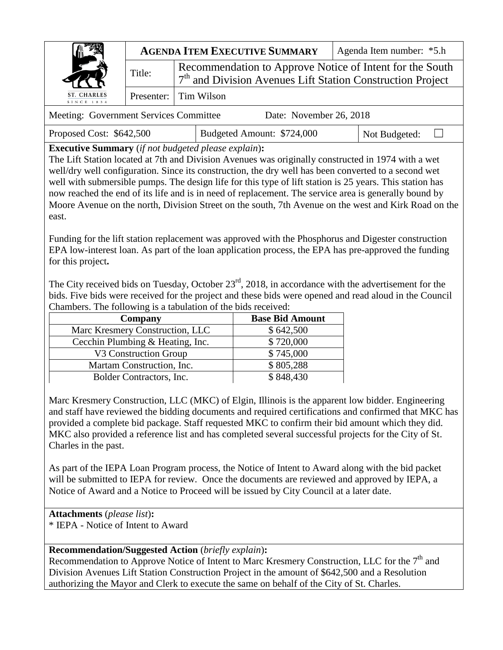|                                                                                                                                                                                                                                                                                                                                                                                                                              | <b>AGENDA ITEM EXECUTIVE SUMMARY</b> |                                                                                                                                    | Agenda Item number: *5.h |  |  |
|------------------------------------------------------------------------------------------------------------------------------------------------------------------------------------------------------------------------------------------------------------------------------------------------------------------------------------------------------------------------------------------------------------------------------|--------------------------------------|------------------------------------------------------------------------------------------------------------------------------------|--------------------------|--|--|
|                                                                                                                                                                                                                                                                                                                                                                                                                              | Title:                               | Recommendation to Approve Notice of Intent for the South<br>7 <sup>th</sup> and Division Avenues Lift Station Construction Project |                          |  |  |
| ST. CHARLES<br>SINCE 1834                                                                                                                                                                                                                                                                                                                                                                                                    |                                      | Presenter: Tim Wilson                                                                                                              |                          |  |  |
| $D_{\text{min}}$ M <sub>r</sub> = $1.42 \times 26.2010$<br>$\mathbf{M}_{\mathbf{z}}$ , $\mathbf{L}_{\mathbf{z}}$ and $\mathbf{L}_{\mathbf{z}}$ are $\mathbf{L}_{\mathbf{z}}$ and $\mathbf{L}_{\mathbf{z}}$ and $\mathbf{L}_{\mathbf{z}}$ are $\mathbf{L}_{\mathbf{z}}$ and $\mathbf{L}_{\mathbf{z}}$ are $\mathbf{L}_{\mathbf{z}}$ and $\mathbf{L}_{\mathbf{z}}$ are $\mathbf{L}_{\mathbf{z}}$ and $\mathbf{L}_{\mathbf{z}}$ |                                      |                                                                                                                                    |                          |  |  |

| Meeting: Government Services Committee | Date: November 26, 2018 |  |
|----------------------------------------|-------------------------|--|
|                                        |                         |  |

Proposed Cost: \$642,500 | Budgeted Amount: \$724,000 | Not Budgeted: □

**Executive Summary** (*if not budgeted please explain*)**:**

The Lift Station located at 7th and Division Avenues was originally constructed in 1974 with a wet well/dry well configuration. Since its construction, the dry well has been converted to a second wet well with submersible pumps. The design life for this type of lift station is 25 years. This station has now reached the end of its life and is in need of replacement. The service area is generally bound by Moore Avenue on the north, Division Street on the south, 7th Avenue on the west and Kirk Road on the east.

Funding for the lift station replacement was approved with the Phosphorus and Digester construction EPA low-interest loan. As part of the loan application process, the EPA has pre-approved the funding for this project**.**

The City received bids on Tuesday, October 23<sup>rd</sup>, 2018, in accordance with the advertisement for the bids. Five bids were received for the project and these bids were opened and read aloud in the Council Chambers. The following is a tabulation of the bids received:

| Company                          | <b>Base Bid Amount</b> |  |
|----------------------------------|------------------------|--|
| Marc Kresmery Construction, LLC  | \$642,500              |  |
| Cecchin Plumbing & Heating, Inc. | \$720,000              |  |
| V3 Construction Group            | \$745,000              |  |
| Martam Construction, Inc.        | \$805,288              |  |
| Bolder Contractors, Inc.         | \$848,430              |  |

Marc Kresmery Construction, LLC (MKC) of Elgin, Illinois is the apparent low bidder. Engineering and staff have reviewed the bidding documents and required certifications and confirmed that MKC has provided a complete bid package. Staff requested MKC to confirm their bid amount which they did. MKC also provided a reference list and has completed several successful projects for the City of St. Charles in the past.

As part of the IEPA Loan Program process, the Notice of Intent to Award along with the bid packet will be submitted to IEPA for review. Once the documents are reviewed and approved by IEPA, a Notice of Award and a Notice to Proceed will be issued by City Council at a later date.

**Attachments** (*please list*)**:**  \* IEPA - Notice of Intent to Award

## **Recommendation/Suggested Action** (*briefly explain*)**:**

Recommendation to Approve Notice of Intent to Marc Kresmery Construction, LLC for the  $7<sup>th</sup>$  and Division Avenues Lift Station Construction Project in the amount of \$642,500 and a Resolution authorizing the Mayor and Clerk to execute the same on behalf of the City of St. Charles.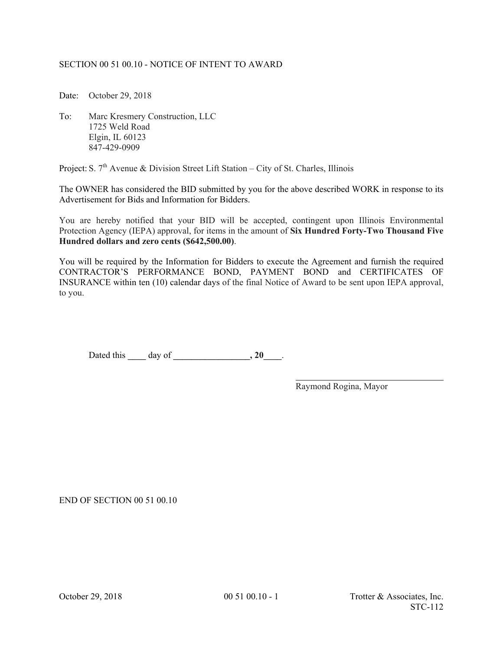## SECTION 00 51 00.10 - NOTICE OF INTENT TO AWARD

Date: October 29, 2018

To: Marc Kresmery Construction, LLC 1725 Weld Road Elgin, IL 60123 847-429-0909

Project: S.  $7<sup>th</sup>$  Avenue & Division Street Lift Station – City of St. Charles, Illinois

The OWNER has considered the BID submitted by you for the above described WORK in response to its Advertisement for Bids and Information for Bidders.

You are hereby notified that your BID will be accepted, contingent upon Illinois Environmental Protection Agency (IEPA) approval, for items in the amount of **Six Hundred Forty-Two Thousand Five Hundred dollars and zero cents (\$642,500.00)**.

You will be required by the Information for Bidders to execute the Agreement and furnish the required CONTRACTOR'S PERFORMANCE BOND, PAYMENT BOND and CERTIFICATES OF INSURANCE within ten (10) calendar days of the final Notice of Award to be sent upon IEPA approval, to you.

Dated this **\_\_\_\_** day of **\_\_\_\_\_\_\_\_\_\_\_\_\_\_\_\_\_, 20\_\_\_\_**.

Raymond Rogina, Mayor

 $\overline{a}$ 

END OF SECTION 00 51 00.10